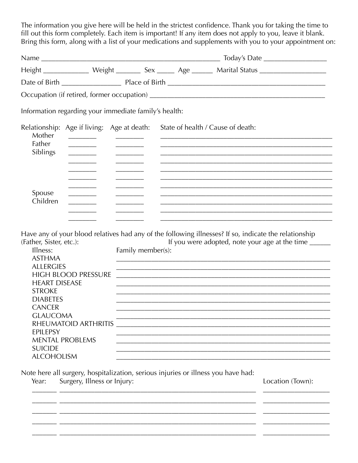The information you give here will be held in the strictest confidence. Thank you for taking the time to fill out this form completely. Each item is important! If any item does not apply to you, leave it blank. Bring this form, along with a list of your medications and supplements with you to you, leave it blams.

|                                                                                                                                                                                                                                                                                                      |                                                                                                                                                                                                                                      |                   | Height ________________ Weight __________ Sex _______ Age _______ Marital Status ___________________                                                                                                                          |                  |
|------------------------------------------------------------------------------------------------------------------------------------------------------------------------------------------------------------------------------------------------------------------------------------------------------|--------------------------------------------------------------------------------------------------------------------------------------------------------------------------------------------------------------------------------------|-------------------|-------------------------------------------------------------------------------------------------------------------------------------------------------------------------------------------------------------------------------|------------------|
|                                                                                                                                                                                                                                                                                                      |                                                                                                                                                                                                                                      |                   |                                                                                                                                                                                                                               |                  |
|                                                                                                                                                                                                                                                                                                      |                                                                                                                                                                                                                                      |                   |                                                                                                                                                                                                                               |                  |
| Information regarding your immediate family's health:                                                                                                                                                                                                                                                |                                                                                                                                                                                                                                      |                   |                                                                                                                                                                                                                               |                  |
| Relationship: Age if living: Age at death:<br>Mother                                                                                                                                                                                                                                                 | <u> The Community of the Community of the Community of the Community of the Community of the Community of the Community of the Community of the Community of the Community of the Community of the Community of the Community of</u> |                   | State of health / Cause of death:                                                                                                                                                                                             |                  |
| Father<br>Siblings                                                                                                                                                                                                                                                                                   | <u> The Community of the Community of the Community of the Community of the Community of the Community of the Community of the Community of the Community of the Community of the Community of the Community of the Community of</u> |                   |                                                                                                                                                                                                                               |                  |
|                                                                                                                                                                                                                                                                                                      |                                                                                                                                                                                                                                      |                   |                                                                                                                                                                                                                               |                  |
|                                                                                                                                                                                                                                                                                                      |                                                                                                                                                                                                                                      |                   |                                                                                                                                                                                                                               |                  |
| Spouse<br>Children                                                                                                                                                                                                                                                                                   |                                                                                                                                                                                                                                      |                   |                                                                                                                                                                                                                               |                  |
| (Father, Sister, etc.):<br>Illness:<br><b>ASTHMA</b><br><b>ALLERGIES</b><br>HIGH BLOOD PRESSURE<br><b>HEART DISEASE</b><br><b>STROKE</b><br><b>DIABETES</b><br><b>CANCER</b><br><b>GLAUCOMA</b><br>RHEUMATOID ARTHRITIS<br>EPILEPSY<br><b>MENTAL PROBLEMS</b><br><b>SUICIDE</b><br><b>ALCOHOLISM</b> |                                                                                                                                                                                                                                      | Family member(s): | Have any of your blood relatives had any of the following illnesses? If so, indicate the relationship<br>If you were adopted, note your age at the time ______<br><u> 1989 - Johann Stoff, amerikansk politiker (d. 1989)</u> |                  |
| Year:                                                                                                                                                                                                                                                                                                | Surgery, Illness or Injury:                                                                                                                                                                                                          |                   | Note here all surgery, hospitalization, serious injuries or illness you have had:                                                                                                                                             | Location (Town): |

<u> 1989 - Jan Samuel Barbara, margaret eta idazlea (h. 1989).</u>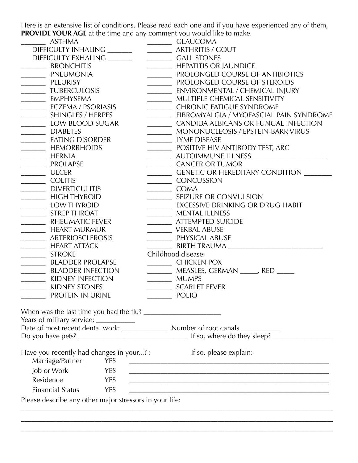Here is an extensive list of conditions. Please read each one and if you have experienced any of them, **PROVIDE YOUR AGE** at the time and any comment you would like to make.

| <b>ASTHMA</b>                                                                                                                                                                              | <b>GLAUCOMA</b>                                                                                                                                |
|--------------------------------------------------------------------------------------------------------------------------------------------------------------------------------------------|------------------------------------------------------------------------------------------------------------------------------------------------|
| DIFFICULTY INHALING ___________________________ ARTHRITIS / GOUT                                                                                                                           |                                                                                                                                                |
| DIFFICULTY EXHALING ______                                                                                                                                                                 | CALL STONES                                                                                                                                    |
| BRONCHITIS                                                                                                                                                                                 | <b>MEPATITIS OR JAUNDICE</b>                                                                                                                   |
| <b>EXAMPLE PNEUMONIA</b>                                                                                                                                                                   | PROLONGED COURSE OF ANTIBIOTICS                                                                                                                |
| PLEURISY                                                                                                                                                                                   | PROLONGED COURSE OF STEROIDS                                                                                                                   |
| <b>WILLE TUBERCULOSIS</b>                                                                                                                                                                  | ___________ ENVIRONMENTAL / CHEMICAL INJURY                                                                                                    |
| __________ EMPHYSEMA                                                                                                                                                                       | ________ MULTIPLE CHEMICAL SENSITIVITY                                                                                                         |
| <b>ECZEMA / PSORIASIS</b>                                                                                                                                                                  | <b>CHRONIC FATIGUE SYNDROME</b>                                                                                                                |
| SHINGLES / HERPES                                                                                                                                                                          | _________ FIBROMYALGIA / MYOFASCIAL PAIN SYNDROME                                                                                              |
| LOW BLOOD SUGAR                                                                                                                                                                            | CANDIDA ALBICANS OR FUNGAL INFECTION                                                                                                           |
| DIABETES                                                                                                                                                                                   | MONONUCLEOSIS / EPSTEIN-BARR VIRUS                                                                                                             |
| EATING DISORDER                                                                                                                                                                            | LYME DISEASE                                                                                                                                   |
| <b>MEMORRHOIDS</b>                                                                                                                                                                         | POSITIVE HIV ANTIBODY TEST, ARC                                                                                                                |
| HERNIA                                                                                                                                                                                     |                                                                                                                                                |
| <b>PROLAPSE</b><br>$\overline{\phantom{a}}$                                                                                                                                                | CANCER OR TUMOR                                                                                                                                |
| ULCER                                                                                                                                                                                      | ___________ GENETIC OR HEREDITARY CONDITION                                                                                                    |
| COLITIS                                                                                                                                                                                    | CONCUSSION                                                                                                                                     |
| DIVERTICULITIS                                                                                                                                                                             | COMA                                                                                                                                           |
| <b>_______</b> HIGH THYROID                                                                                                                                                                | ___________ SEIZURE OR CONVULSION                                                                                                              |
| LOW THYROID                                                                                                                                                                                | <b>EXCESSIVE DRINKING OR DRUG HABIT</b>                                                                                                        |
| STREP THROAT                                                                                                                                                                               | MENTAL ILLNESS                                                                                                                                 |
| ____________ RHEUMATIC FEVER                                                                                                                                                               | <b>___________ ATTEMPTED SUICIDE</b>                                                                                                           |
| <b>MEART MURMUR</b>                                                                                                                                                                        | VERBAL ABUSE                                                                                                                                   |
| ARTERIOSCLEROSIS                                                                                                                                                                           | PHYSICAL ABUSE                                                                                                                                 |
| HEART ATTACK                                                                                                                                                                               | BIRTH TRAUMA                                                                                                                                   |
| <b>STROKE</b>                                                                                                                                                                              | Childhood disease:                                                                                                                             |
| <b>BLADDER PROLAPSE</b><br>$\label{eq:2.1} \frac{1}{\sqrt{2\pi}}\left(\frac{1}{\sqrt{2\pi}}\right)^{1/2}\left(\frac{1}{\sqrt{2\pi}}\right)^{1/2}\left(\frac{1}{\sqrt{2\pi}}\right)^{1/2}.$ | CHICKEN POX                                                                                                                                    |
| BLADDER INFECTION                                                                                                                                                                          | __________ MEASLES, GERMAN ______, RED ______                                                                                                  |
| <b>WIDNEY INFECTION</b>                                                                                                                                                                    | MUMPS                                                                                                                                          |
| KIDNEY STONES                                                                                                                                                                              | SCARLET FEVER                                                                                                                                  |
| PROTEIN IN URINE                                                                                                                                                                           | POLIO                                                                                                                                          |
| Years of military service: ____________                                                                                                                                                    |                                                                                                                                                |
|                                                                                                                                                                                            |                                                                                                                                                |
|                                                                                                                                                                                            |                                                                                                                                                |
| Have you recently had changes in your? :<br>Marriage/Partner<br><b>YES</b>                                                                                                                 | If so, please explain:<br><u> Alexandria de la contrada de la contrada de la contrada de la contrada de la contrada de la contrada de la c</u> |
| Job or Work<br><b>YES</b>                                                                                                                                                                  |                                                                                                                                                |
| Residence<br><b>YES</b>                                                                                                                                                                    | <u> 1980 - Johann John Stone, mars eta bainar eta bainar eta baina eta baina eta baina eta baina eta baina eta b</u>                           |
| <b>Financial Status</b><br><b>YES</b>                                                                                                                                                      |                                                                                                                                                |
| Please describe any other major stressors in your life:                                                                                                                                    |                                                                                                                                                |
|                                                                                                                                                                                            |                                                                                                                                                |
|                                                                                                                                                                                            |                                                                                                                                                |

\_\_\_\_\_\_\_\_\_\_\_\_\_\_\_\_\_\_\_\_\_\_\_\_\_\_\_\_\_\_\_\_\_\_\_\_\_\_\_\_\_\_\_\_\_\_\_\_\_\_\_\_\_\_\_\_\_\_\_\_\_\_\_\_\_\_\_\_\_\_\_\_\_\_\_\_\_\_\_\_\_\_\_\_\_\_\_\_\_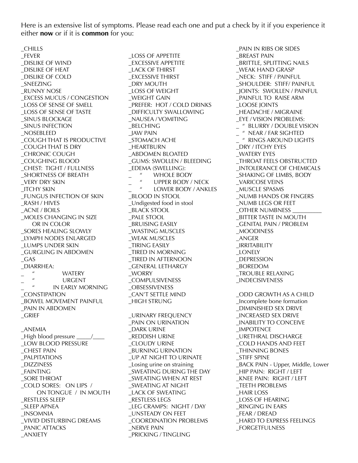Here is an extensive list of symptoms. Please read each one and put a check by it if you experience it either **now** or if it is **common** for you:

\_CHILLS \_FEVER \_DISLIKE OF WIND \_DISLIKE OF HEAT \_DISLIKE OF COLD \_SNEEZING \_RUNNY NOSE \_EXCESS MUCUS / CONGESTION \_LOSS OF SENSE OF SMELL \_LOSS OF SENSE OF TASTE \_SINUS BLOCKAGE \_SINUS INFECTION \_NOSEBLEED \_COUGH THAT IS PRODUCTIVE \_COUGH THAT IS DRY \_CHRONIC COUGH \_COUGHING BLOOD \_CHEST: TIGHT / FULLNESS \_SHORTNESS OF BREATH \_VERY DRY SKIN \_ITCHY SKIN \_FUNGUS INFECTION OF SKIN \_RASH / HIVES \_ACNE / BOILS \_MOLES CHANGING IN SIZE OR IN COLOR \_SORES HEALING SLOWLY \_LYMPH NODES ENLARGED \_LUMPS UNDER SKIN \_GURGLING IN ABDOMEN  $\_GAS$ \_DIARRHEA:  $\frac{1}{\mu}$  WATERY URGENT \_ " IN EARLY MORNING \_CONSTIPATION \_BOWEL MOVEMENT PAINFUL \_PAIN IN ABDOMEN \_GRIEF \_ANEMIA \_High blood pressure \_\_\_\_\_/\_\_\_\_ \_LOW BLOOD PRESSURE \_CHEST PAIN \_PALPITATIONS \_DIZZINESS \_FAINTING \_SORE THROAT \_COLD SORES: ON LIPS / ON TONGUE / IN MOUTH \_RESTLESS SLEEP \_SLEEP APNEA \_INSOMNIA \_VIVID DISTURBING DREAMS \_PANIC ATTACKS

\_ANXIETY

\_LOSS OF APPETITE \_EXCESSIVE APPETITE \_LACK OF THIRST \_EXCESSIVE THIRST \_DRY MOUTH \_LOSS OF WEIGHT \_WEIGHT GAIN \_PREFER: HOT / COLD DRINKS \_DIFFICULTY SWALLOWING \_NAUSEA / VOMITING \_BELCHING \_JAW PAIN \_STOMACH ACHE \_HEARTBURN \_ABDOMEN BLOATED \_GUMS: SWOLLEN / BLEEDING \_EDEMA (SWELLING): " WHOLE BODY<br>" LIPPER BODY / - " UPPER BODY / NECK<br>" LOWER BODY / ANKL LOWER BODY / ANKLES \_BLOOD IN STOOL \_Undigested food in stool \_BLACK STOOL \_PALE STOOL \_BRUISING EASILY \_WASTING MUSCLES \_WEAK MUSCLES \_TIRING EASILY \_TIRED IN MORNING \_TIRED IN AFTERNOON \_GENERAL LETHARGY \_WORRY \_COMPULSIVENESS **OBSESSIVENESS** \_CAN'T SETTLE MIND \_HIGH STRUNG \_URINARY FREQUENCY \_PAIN ON URINATION \_DARK URINE \_REDDISH URINE \_CLOUDY URINE \_BURNING URINATION \_UP AT NIGHT TO URINATE \_Losing urine on straining \_SWEATING DURING THE DAY \_SWEATING WHEN AT REST \_SWEATING AT NIGHT \_LACK OF SWEATING \_RESTLESS LEGS LEG CRAMPS: NIGHT / DAY \_UNSTEADY ON FEET \_COORDINATION PROBLEMS \_NERVE PAIN \_PRICKING / TINGLING

\_PAIN IN RIBS OR SIDES \_BREAST PAIN \_BRITTLE, SPLITTING NAILS \_WEAK HAND GRASP \_NECK: STIFF / PAINFUL \_SHOULDER: STIFF/ PAINFUL \_JOINTS: SWOLLEN / PAINFUL \_PAINFUL TO RAISE ARM \_LOOSE JOINTS \_HEADACHE / MIGRAINE \_EYE / VISION PROBLEMS: \_ " BLURRY / DOUBLE VISION \_ " NEAR / FAR SIGHTED \_ " RINGS AROUND LIGHTS DRY / ITCHY EYES \_WATERY EYES \_THROAT FEELS OBSTRUCTED \_INTOLERANCE OF CHEMICALS \_SHAKING OF LIMBS, BODY \_VARICOSE VEINS \_MUSCLE SPASMS \_NUMB HANDS OR FINGERS \_NUMB LEGS OR FEET \_OTHER NUMBNESS \_\_\_\_\_\_\_\_\_\_ \_BITTER TASTE IN MOUTH \_GENITAL PAIN / PROBLEM \_MOODINESS \_ANGER \_IRRITABILITY \_LONELY \_DEPRESSION \_BOREDOM \_TROUBLE RELAXING \_INDECISIVENESS \_ODD GROWTH AS A CHILD \_Incomplete bone formation \_DIMINISHED SEX DRIVE \_INCREASED SEX DRIVE \_INABILITY TO CONCEIVE \_IMPOTENCE \_URETHRAL DISCHARGE \_COLD HANDS AND FEET \_THINNING BONES \_STIFF SPINE \_BACK PAIN - Upper, Middle, Lower \_HIP PAIN: RIGHT / LEFT \_KNEE PAIN: RIGHT / LEFT \_TEETH PROBLEMS \_HAIR LOSS \_LOSS OF HEARING \_RINGING IN EARS \_FEAR / DREAD \_HARD TO EXPRESS FEELINGS \_FORGETFULNESS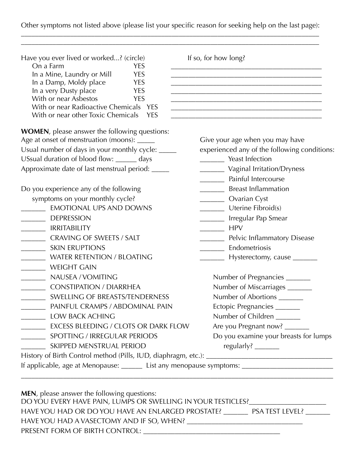## Other symptoms not listed above (please list your specific reason for seeking help on the last page): \_\_\_\_\_\_\_\_\_\_\_\_\_\_\_\_\_\_\_\_\_\_\_\_\_\_\_\_\_\_\_\_\_\_\_\_\_\_\_\_\_\_\_\_\_\_\_\_\_\_\_\_\_\_\_\_\_\_\_\_\_\_\_\_\_\_\_\_\_\_\_\_\_\_\_\_\_\_\_\_\_\_\_\_\_

| Have you ever lived or worked? (circle)                                                              | If so, for how long?                                                                                                 |  |
|------------------------------------------------------------------------------------------------------|----------------------------------------------------------------------------------------------------------------------|--|
| On a Farm<br><b>YES</b>                                                                              |                                                                                                                      |  |
| In a Mine, Laundry or Mill<br><b>YES</b>                                                             |                                                                                                                      |  |
| In a Damp, Moldy place<br><b>YES</b><br>In a very Dusty place<br><b>YES</b>                          | the control of the control of the control of the control of the control of the control of                            |  |
| With or near Asbestos<br><b>YES</b>                                                                  |                                                                                                                      |  |
| With or near Radioactive Chemicals YES                                                               | <u> 1989 - Johann John Stone, markin biskup yn y steatr y brening yn y brening yn y brening yn y brening yn y br</u> |  |
| With or near other Toxic Chemicals<br><b>YES</b>                                                     |                                                                                                                      |  |
| <b>WOMEN</b> , please answer the following questions:                                                |                                                                                                                      |  |
| Age at onset of menstruation (moons): _____                                                          | Give your age when you may have                                                                                      |  |
| Usual number of days in your monthly cycle: _____                                                    | experienced any of the following conditions:                                                                         |  |
| USsual duration of blood flow: ______ days                                                           | Veast Infection                                                                                                      |  |
| Approximate date of last menstrual period: _____                                                     | Vaginal Irritation/Dryness                                                                                           |  |
|                                                                                                      | <b>Example 1 Painful Intercourse</b>                                                                                 |  |
| Do you experience any of the following                                                               | Breast Inflammation                                                                                                  |  |
| symptoms on your monthly cycle?                                                                      | <b>November 1998</b> Cyst                                                                                            |  |
| <b>EMOTIONAL UPS AND DOWNS</b>                                                                       | Uterine Fibroid(s)                                                                                                   |  |
| <b>DEPRESSION</b>                                                                                    | <b>Example 15 Irregular Pap Smear</b>                                                                                |  |
| <b>IRRITABILITY</b>                                                                                  | <b>HPV</b><br>$\mathcal{L}=\{1,2,\ldots, n\}$ .                                                                      |  |
| <b>CRAVING OF SWEETS / SALT</b><br>$\mathcal{L}_{\text{max}}$                                        | <b>Example 1</b> Pelvic Inflammatory Disease                                                                         |  |
| <b>SKIN ERUPTIONS</b>                                                                                | Endometriosis                                                                                                        |  |
| <b>WATER RETENTION / BLOATING</b>                                                                    | __________ Hysterectomy, cause ________                                                                              |  |
| <b>WEIGHT GAIN</b><br>$\mathcal{L}(\mathcal{L})$                                                     |                                                                                                                      |  |
| NAUSEA / VOMITING                                                                                    | Number of Pregnancies                                                                                                |  |
| <b>CONSTIPATION / DIARRHEA</b>                                                                       | Number of Miscarriages ______                                                                                        |  |
| SWELLING OF BREASTS/TENDERNESS                                                                       | Number of Abortions                                                                                                  |  |
| PAINFUL CRAMPS / ABDOMINAL PAIN                                                                      | Ectopic Pregnancies                                                                                                  |  |
| <b>LOW BACK ACHING</b>                                                                               | Number of Children                                                                                                   |  |
| EXCESS BLEEDING / CLOTS OR DARK FLOW<br>$\overline{\phantom{a}}$                                     | Are you Pregnant now? _____                                                                                          |  |
| SPOTTING / IRREGULAR PERIODS<br>$\mathcal{L}_{\text{max}}$                                           | Do you examine your breasts for lumps                                                                                |  |
| SKIPPED MENSTRUAL PERIOD                                                                             | regularly? _______                                                                                                   |  |
|                                                                                                      |                                                                                                                      |  |
| If applicable, age at Menopause: _______ List any menopause symptoms: ______________________________ |                                                                                                                      |  |

**MEN**, please answer the following questions: DO YOU EVERY HAVE PAIN, LUMPS OR SWELLING IN YOUR TESTICLES?\_\_\_\_\_\_\_\_\_\_\_\_\_\_\_\_\_\_\_\_ HAVE YOU HAD OR DO YOU HAVE AN ENLARGED PROSTATE? \_\_\_\_\_\_\_\_ PSA TEST LEVEL? \_\_\_\_\_\_ HAVE YOU HAD A VASECTOMY AND IF SO, WHEN? \_\_\_\_\_\_\_\_\_\_\_\_\_\_\_\_\_\_\_\_\_\_\_\_\_\_\_\_\_\_\_\_\_ PRESENT FORM OF BIRTH CONTROL: \_\_\_\_\_\_\_\_\_\_\_\_\_\_\_\_\_\_\_\_\_\_\_\_\_\_\_\_\_\_\_\_\_\_\_\_\_\_\_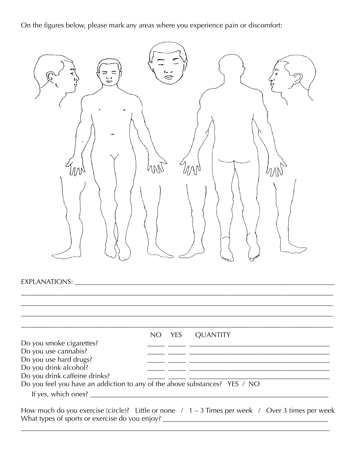On the figures below, please mark any areas where you experience pain or discomfort:



|                                                                            | NO. | YES | <b>QUANTITY</b> |
|----------------------------------------------------------------------------|-----|-----|-----------------|
| Do you smoke cigarettes?                                                   |     |     |                 |
| Do you use cannabis?                                                       |     |     |                 |
| Do you use hard drugs?                                                     |     |     |                 |
| Do you drink alcohol?                                                      |     |     |                 |
| Do you drink caffeine drinks?                                              |     |     |                 |
| Do you feel you have an addiction to any of the above substances? YES / NO |     |     |                 |
| If yes, which ones?                                                        |     |     |                 |

How much do you exercise (circle)? Little or none  $/1 - 3$  Times per week  $/$  Over 3 times per week